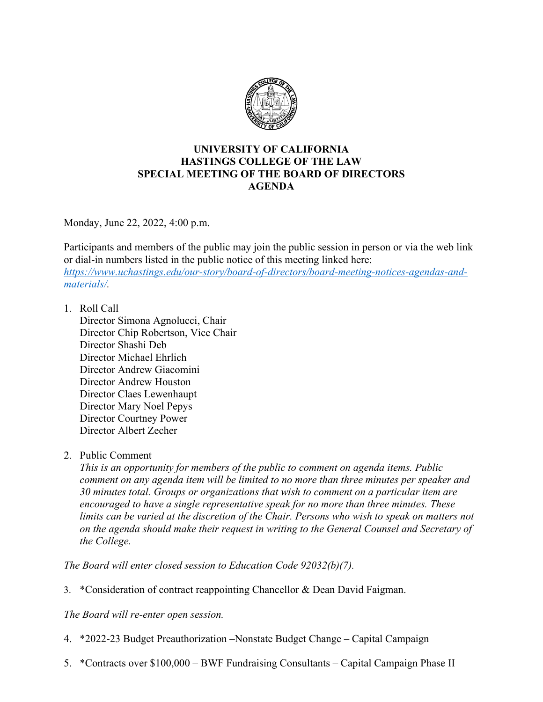

## **UNIVERSITY OF CALIFORNIA HASTINGS COLLEGE OF THE LAW SPECIAL MEETING OF THE BOARD OF DIRECTORS AGENDA**

Monday, June 22, 2022, 4:00 p.m.

Participants and members of the public may join the public session in person or via the web link or dial-in numbers listed in the public notice of this meeting linked here: *[https://www.uchastings.edu/our-story/board-of-directors/board-meeting-notices-agendas-and](https://www.uchastings.edu/our-story/board-of-directors/board-meeting-notices-agendas-and-materials/)[materials/.](https://www.uchastings.edu/our-story/board-of-directors/board-meeting-notices-agendas-and-materials/)* 

1. Roll Call

Director Simona Agnolucci, Chair Director Chip Robertson, Vice Chair Director Shashi Deb Director Michael Ehrlich Director Andrew Giacomini Director Andrew Houston Director Claes Lewenhaupt Director Mary Noel Pepys Director Courtney Power Director Albert Zecher

2. Public Comment

*This is an opportunity for members of the public to comment on agenda items. Public comment on any agenda item will be limited to no more than three minutes per speaker and 30 minutes total. Groups or organizations that wish to comment on a particular item are encouraged to have a single representative speak for no more than three minutes. These limits can be varied at the discretion of the Chair. Persons who wish to speak on matters not on the agenda should make their request in writing to the General Counsel and Secretary of the College.*

*The Board will enter closed session to Education Code 92032(b)(7).*

3. \*Consideration of contract reappointing Chancellor & Dean David Faigman.

*The Board will re-enter open session.*

- 4. \*2022-23 Budget Preauthorization –Nonstate Budget Change Capital Campaign
- 5. \*Contracts over \$100,000 BWF Fundraising Consultants Capital Campaign Phase II